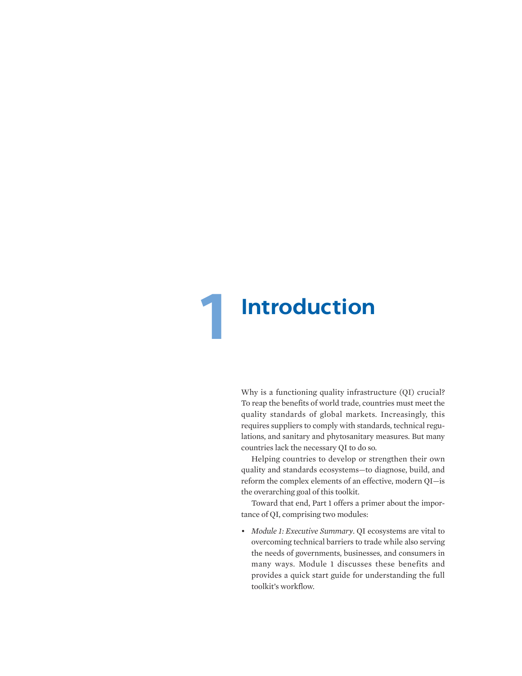## **Introduction**

Why is a functioning quality infrastructure (QI) crucial? To reap the benefits of world trade, countries must meet the quality standards of global markets. Increasingly, this requires suppliers to comply with standards, technical regulations, and sanitary and phytosanitary measures. But many countries lack the necessary QI to do so.

Helping countries to develop or strengthen their own quality and standards ecosystems—to diagnose, build, and reform the complex elements of an effective, modern QI—is the overarching goal of this toolkit.

Toward that end, Part 1 offers a primer about the importance of QI, comprising two modules:

• *Module 1: Executive Summary*. QI ecosystems are vital to overcoming technical barriers to trade while also serving the needs of governments, businesses, and consumers in many ways. Module 1 discusses these benefits and provides a quick start guide for understanding the full toolkit's workflow.